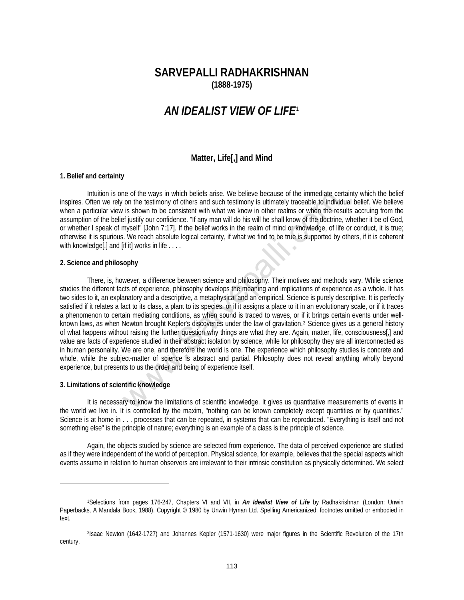## **SARVEPALLI RADHAKRISHNAN (1888-1975)**

# *AN IDEALIST VIEW OF LIFE*[1](#page-0-0)

## **Matter, Life[,] and Mind**

#### **1. Belief and certainty**

 Intuition is one of the ways in which beliefs arise. We believe because of the immediate certainty which the belief inspires. Often we rely on the testimony of others and such testimony is ultimately traceable to individual belief. We believe when a particular view is shown to be consistent with what we know in other realms or when the results accruing from the assumption of the belief justify our confidence. "If any man will do his will he shall know of the doctrine, whether it be of God, or whether I speak of myself" [John 7:17]. If the belief works in the realm of mind or knowledge, of life or conduct, it is true; otherwise it is spurious. We reach absolute logical certainty, if what we find to be true is supported by others, if it is coherent with knowledge[,] and [if it] works in life . . . .

#### **2. Science and philosophy**

 There, is, however, a difference between science and philosophy. Their motives and methods vary. While science studies the different facts of experience, philosophy develops the meaning and implications of experience as a whole. It has two sides to it, an explanatory and a descriptive, a metaphysical and an empirical. Science is purely descriptive. It is perfectly satisfied if it relates a fact to its class, a plant to its species, or if it assigns a place to it in an evolutionary scale, or if it traces a phenomenon to certain mediating conditions, as when sound is traced to waves, or if it brings certain events under wellknown laws, as when Newton brought Kepler's discoveries under the law of gravitation.2 Science gives us a general history of what happens without raising the further question why things are what they are. Again, matter, life, consciousness[,] and value are facts of experience studied in their abstract isolation by science, while for philosophy they are all interconnected as in human personality. We are one, and therefore the world is one. The experience which philosophy studies is concrete and whole, while the subject-matter of science is abstract and partial. Philosophy does not reveal anything wholly beyond experience, but presents to us the order and being of experience itself. The tect through the same way that the beat the mometate ce on the ensimination of others and such testimony is ultimately traceable to individually to in its estimately trans of when the restimation is this shown to be co

#### **3. Limitations of scientific knowledge**

 $\overline{a}$ 

 It is necessary to know the limitations of scientific knowledge. It gives us quantitative measurements of events in the world we live in. It is controlled by the maxim, "nothing can be known completely except quantities or by quantities." Science is at home in . . . processes that can be repeated, in systems that can be reproduced. "Everything is itself and not something else" is the principle of nature; everything is an example of a class is the principle of science.

 Again, the objects studied by science are selected from experience. The data of perceived experience are studied as if they were independent of the world of perception. Physical science, for example, believes that the special aspects which events assume in relation to human observers are irrelevant to their intrinsic constitution as physically determined. We select

<span id="page-0-0"></span><sup>1</sup>Selections from pages 176-247, Chapters VI and VII, in *An Idealist View of Life* by Radhakrishnan (London: Unwin Paperbacks, A Mandala Book, 1988). Copyright <sup>©</sup> 1980 by Unwin Hyman Ltd. Spelling Americanized; footnotes omitted or embodied in text.

<span id="page-0-1"></span><sup>2</sup>Isaac Newton (1642-1727) and Johannes Kepler (1571-1630) were major figures in the Scientific Revolution of the 17th century.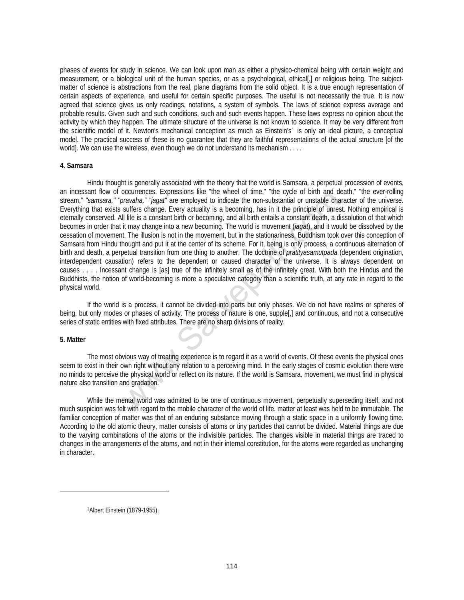phases of events for study in science. We can look upon man as either a physico-chemical being with certain weight and measurement, or a biological unit of the human species, or as a psychological, ethical[,] or religious being. The subjectmatter of science is abstractions from the real, plane diagrams from the solid object. It is a true enough representation of certain aspects of experience, and useful for certain specific purposes. The useful is not necessarily the true. It is now agreed that science gives us only readings, notations, a system of symbols. The laws of science express average and probable results. Given such and such conditions, such and such events happen. These laws express no opinion about the activity by which they happen. The ultimate structure of the universe is not known to science. It may be very different from the scientific model of it. Newton's mechanical conception as much as Einstein's<sup>[1](#page-1-0)</sup> is only an ideal picture, a conceptual model. The practical success of these is no guarantee that they are faithful representations of the actual structure [of the world]. We can use the wireless, even though we do not understand its mechanism . . . .

#### **4. Samsara**

 Hindu thought is generally associated with the theory that the world is Samsara*,* a perpetual procession of events, an incessant flow of occurrences. Expressions like "the wheel of time," "the cycle of birth and death," "the ever-rolling stream," *"samsara," "pravaha," "jagat"* are employed to indicate the non-substantial or unstable character of the universe. Everything that exists suffers change. Every actuality is a becoming, has in it the principle of unrest. Nothing empirical is eternally conserved. All life is a constant birth or becoming, and all birth entails a constant death, a dissolution of that which becomes in order that it may change into a new becoming. The world is movement (*jagat*), and it would be dissolved by the cessation of movement. The illusion is not in the movement, but in the stationariness. Buddhism took over this conception of Samsara from Hindu thought and put it at the center of its scheme. For it, being is only process, a continuous alternation of birth and death, a perpetual transition from one thing to another. The doctrine of *pratityasamutpada* (dependent origination, interdependent causation) refers to the dependent or caused character of the universe. It is always dependent on causes . . . . Incessant change is [as] true of the infinitely small as of the infinitely great. With both the Hindus and the Buddhists, the notion of world-becoming is more a speculative category than a scientific truth, at any rate in regard to the physical world. Columentes. Explessions like the wheter or three, the cycle of unity and the control the control the card of the matter of the world of the matter of the matter of the matter of the matter of the matter of the such and all

 If the world is a process, it cannot be divided into parts but only phases. We do not have realms or spheres of being, but only modes or phases of activity. The process of nature is one, supple[,] and continuous, and not a consecutive series of static entities with fixed attributes. There are no sharp divisions of reality.

#### **5. Matter**

<span id="page-1-0"></span> $\overline{a}$ 

 The most obvious way of treating experience is to regard it as a world of events. Of these events the physical ones seem to exist in their own right without any relation to a perceiving mind. In the early stages of cosmic evolution there were no minds to perceive the physical world or reflect on its nature. If the world is Samsara*,* movement, we must find in physical nature also transition and gradation.

 While the mental world was admitted to be one of continuous movement, perpetually superseding itself, and not much suspicion was felt with regard to the mobile character of the world of life, matter at least was held to be immutable. The familiar conception of matter was that of an enduring substance moving through a static space in a uniformly flowing time. According to the old atomic theory, matter consists of atoms or tiny particles that cannot be divided. Material things are due to the varying combinations of the atoms or the indivisible particles. The changes visible in material things are traced to changes in the arrangements of the atoms, and not in their internal constitution, for the atoms were regarded as unchanging in character.

1Albert Einstein (1879-1955).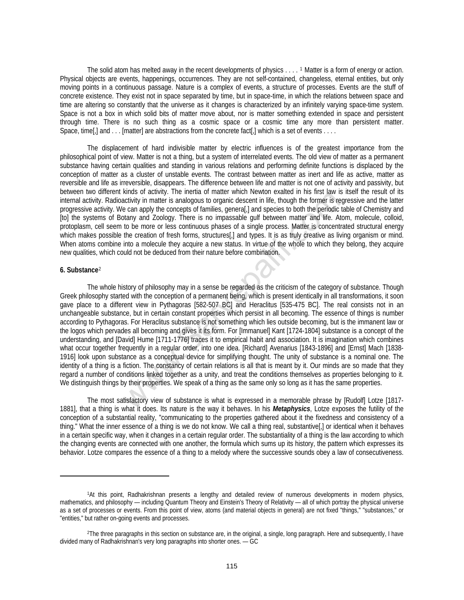The solid atom has melted away in the recent developments of physics . . . . [1](#page-2-0) Matter is a form of energy or action. Physical objects are events, happenings, occurrences. They are not self-contained, changeless, eternal entities, but only moving points in a continuous passage. Nature is a complex of events, a structure of processes. Events are the stuff of concrete existence. They exist not in space separated by time, but in space-time, in which the relations between space and time are altering so constantly that the universe as it changes is characterized by an infinitely varying space-time system. Space is not a box in which solid bits of matter move about, nor is matter something extended in space and persistent through time. There is no such thing as a cosmic space or a cosmic time any more than persistent matter. Space, time[,] and . . . [matter] are abstractions from the concrete fact[,] which is a set of events . . . .

 The displacement of hard indivisible matter by electric influences is of the greatest importance from the philosophical point of view. Matter is not a thing, but a system of interrelated events. The old view of matter as a permanent substance having certain qualities and standing in various relations and performing definite functions is displaced by the conception of matter as a cluster of unstable events. The contrast between matter as inert and life as active, matter as reversible and life as irreversible, disappears. The difference between life and matter is not one of activity and passivity, but between two different kinds of activity. The inertia of matter which Newton exalted in his first law is itself the result of its internal activity. Radioactivity in matter is analogous to organic descent in life, though the former is regressive and the latter progressive activity. We can apply the concepts of families, genera[,] and species to both the periodic table of Chemistry and [to] the systems of Botany and Zoology. There is no impassable gulf between matter and life. Atom, molecule, colloid, protoplasm, cell seem to be more or less continuous phases of a single process. Matter is concentrated structural energy which makes possible the creation of fresh forms, structures[,] and types. It is as truly creative as living organism or mind. When atoms combine into a molecule they acquire a new status. In virtue of the whole to which they belong, they acquire new qualities, which could not be deduced from their nature before combination.

#### **6. Substance**[2](#page-2-1)

 $\overline{a}$ 

 The whole history of philosophy may in a sense be regarded as the criticism of the category of substance. Though Greek philosophy started with the conception of a permanent being, which is present identically in all transformations, it soon gave place to a different view in Pythagoras [582-507 BC] and Heraclitus [535-475 BC]. The real consists not in an unchangeable substance, but in certain constant properties which persist in all becoming. The essence of things is number according to Pythagoras. For Heraclitus substance is not something which lies outside becoming, but is the immanent law or the logos which pervades all becoming and gives it its form. For [Immanuel] Kant [1724-1804] substance is a concept of the understanding, and [David] Hume [1711-1776] traces it to empirical habit and association. It is imagination which combines what occur together frequently in a regular order, into one idea. [Richard] Avenarius [1843-1896] and [Ernst] Mach [1838- 1916] look upon substance as a conceptual device for simplifying thought. The unity of substance is a nominal one. The identity of a thing is a fiction. The constancy of certain relations is all that is meant by it. Our minds are so made that they regard a number of conditions linked together as a unity, and treat the conditions themselves as properties belonging to it. We distinguish things by their properties. We speak of a thing as the same only so long as it has the same properties. whow a meth of matter wind of matter which rewive the same of the same of the care of the conditions and Zoology. There is no impassable gulf between matter and life. At two the periodicitary and Zoology. There is no impas

 The most satisfactory view of substance is what is expressed in a memorable phrase by [Rudolf] Lotze [1817- 1881], that a thing is what it does. Its nature is the way it behaves. In his *Metaphysics*, Lotze exposes the futility of the conception of a substantial reality, "communicating to the properties gathered about it the fixedness and consistency of a thing." What the inner essence of a thing is we do not know. We call a thing real, substantive[,] or identical when it behaves in a certain specific way, when it changes in a certain regular order. The substantiality of a thing is the law according to which the changing events are connected with one another, the formula which sums up its history, the pattern which expresses its behavior. Lotze compares the essence of a thing to a melody where the successive sounds obey a law of consecutiveness.

<span id="page-2-0"></span><sup>1</sup>At this point, Radhakrishnan presents a lengthy and detailed review of numerous developments in modern physics, mathematics, and philosophy — including Quantum Theory and Einstein's Theory of Relativity — all of which portray the physical universe as a set of processes or events. From this point of view, atoms (and material objects in general) are not fixed "things," "substances," or "entities," but rather on-going events and processes.

<span id="page-2-1"></span><sup>2</sup>The three paragraphs in this section on substance are, in the original, a single, long paragraph. Here and subsequently, I have divided many of Radhakrishnan's very long paragraphs into shorter ones. — GC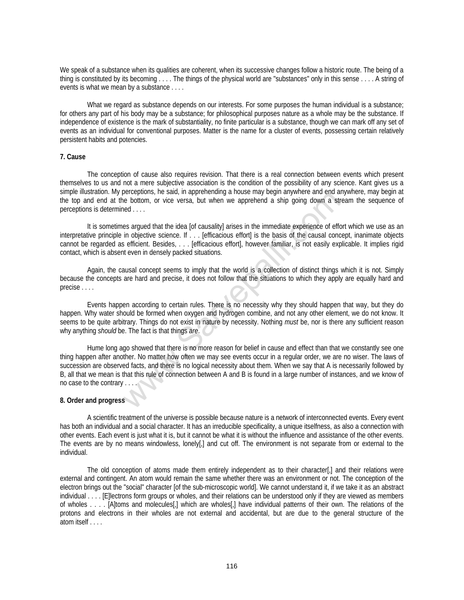We speak of a substance when its qualities are coherent, when its successive changes follow a historic route. The being of a thing is constituted by its becoming . . . . The things of the physical world are "substances" only in this sense . . . . A string of events is what we mean by a substance . . . .

What we regard as substance depends on our interests. For some purposes the human individual is a substance; for others any part of his body may be a substance; for philosophical purposes nature as a whole may be the substance. If independence of existence is the mark of substantiality, no finite particular is a substance, though we can mark off any set of events as an individual for conventional purposes. Matter is the name for a cluster of events, possessing certain relatively persistent habits and potencies.

#### **7. Cause**

 The conception of cause also requires revision. That there is a real connection between events which present themselves to us and not a mere subjective association is the condition of the possibility of any science. Kant gives us a simple illustration. My perceptions, he said, in apprehending a house may begin anywhere and end anywhere, may begin at the top and end at the bottom, or vice versa, but when we apprehend a ship going down a stream the sequence of perceptions is determined . . . .

 It is sometimes argued that the idea [of causality] arises in the immediate experience of effort which we use as an interpretative principle in objective science. If . . . [efficacious effort] is the basis of the causal concept, inanimate objects cannot be regarded as efficient. Besides, . . . [efficacious effort], however familiar, is not easily explicable. It implies rigid contact, which is absent even in densely packed situations.

 Again, the causal concept seems to imply that the world is a collection of distinct things which it is not. Simply because the concepts are hard and precise, it does not follow that the situations to which they apply are equally hard and precise . . . .

 Events happen according to certain rules. There is no necessity why they should happen that way, but they do happen. Why water should be formed when oxygen and hydrogen combine, and not any other element, we do not know. It seems to be quite arbitrary. Things do not exist in nature by necessity. Nothing *must* be, nor is there any sufficient reason why anything *should* be. The fact is that things *are*.

 Hume long ago showed that there is no more reason for belief in cause and effect than that we constantly see one thing happen after another. No matter how often we may see events occur in a regular order, we are no wiser. The laws of succession are observed facts, and there is no logical necessity about them. When we say that A is necessarily followed by B, all that we mean is that this rule of connection between A and B is found in a large number of instances, and we know of no case to the contrary . . . . where the said, in appletienting a notice happen any begin anywhere and end and<br>the bottom, or vice versa, but when we apprehend a ship going down a str<br>ned ....<br>es argued that the idea [of causality] arises in the immedia

#### **8. Order and progress**

 A scientific treatment of the universe is possible because nature is a network of interconnected events. Every event has both an individual and a social character. It has an irreducible specificality, a unique itselfness, as also a connection with other events. Each event is just what it is, but it cannot be what it is without the influence and assistance of the other events. The events are by no means windowless, lonely[,] and cut off. The environment is not separate from or external to the individual.

 The old conception of atoms made them entirely independent as to their character[,] and their relations were external and contingent. An atom would remain the same whether there was an environment or not. The conception of the electron brings out the "social" character [of the sub-microscopic world]. We cannot understand it, if we take it as an abstract individual . . . . [E]lectrons form groups or wholes, and their relations can be understood only if they are viewed as members of wholes . . . . [A]toms and molecules[,] which are wholes[,] have individual patterns of their own. The relations of the protons and electrons in their wholes are not external and accidental, but are due to the general structure of the atom itself . . . .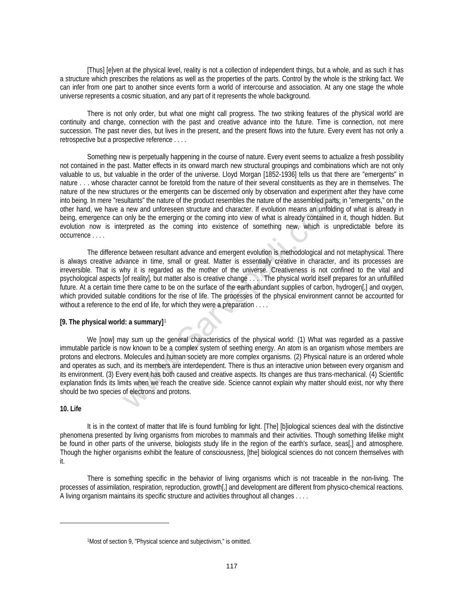[Thus] [e]ven at the physical level, reality is not a collection of independent things, but a whole, and as such it has a structure which prescribes the relations as well as the properties of the parts. Control by the whole is the striking fact. We can infer from one part to another since events form a world of intercourse and association. At any one stage the whole universe represents a cosmic situation, and any part of it represents the whole background.

 There is not only order, but what one might call progress. The two striking features of the physical world are continuity and change, connection with the past and creative advance into the future. Time is connection, not mere succession. The past never dies, but lives in the present, and the present flows into the future. Every event has not only a retrospective but a prospective reference . . . .

 Something new is perpetually happening in the course of nature. Every event seems to actualize a fresh possibility not contained in the past. Matter effects in its onward march new structural groupings and combinations which are not only valuable to us, but valuable in the order of the universe. Lloyd Morgan [1852-1936] tells us that there are "emergents" in nature . . . whose character cannot be foretold from the nature of their several constituents as they are in themselves. The nature of the new structures or the emergents can be discerned only by observation and experiment after they have come into being. In mere "resultants" the nature of the product resembles the nature of the assembled parts; in "emergents," on the other hand, we have a new and unforeseen structure and character. If evolution means an unfolding of what is already in being, emergence can only be the emerging or the coming into view of what is already contained in it, though hidden. But evolution now is interpreted as the coming into existence of something new, which is unpredictable before its occurrence . . . .

 The difference between resultant advance and emergent evolution is methodological and not metaphysical. There is always creative advance in time, small or great. Matter is essentially creative in character, and its processes are irreversible. That is why it is regarded as the mother of the universe. Creativeness is not confined to the vital and psychological aspects [of reality], but matter also is creative change . . . . The physical world itself prepares for an unfulfilled future. At a certain time there came to be on the surface of the earth abundant supplies of carbon, hydrogen[,] and oxygen, which provided suitable conditions for the rise of life. The processes of the physical environment cannot be accounted for without a reference to the end of life, for which they were a preparation . . . .

#### **[9. The physical world: a summary]**<sup>1</sup>

 We [now] may sum up the general characteristics of the physical world: (1) What was regarded as a passive immutable particle is now known to be a complex system of seething energy. An atom is an organism whose members are protons and electrons. Molecules and human society are more complex organisms. (2) Physical nature is an ordered whole and operates as such, and its members are interdependent. There is thus an interactive union between every organism and its environment. (3) Every event has both caused and creative aspects. Its changes are thus trans-mechanical. (4) Scientific explanation finds its limits when we reach the creative side. Science cannot explain why matter should exist, nor why there should be two species of electrons and protons. cludes or the emergients can be usedented only by observation and experimentations<br>sultants" the nature of the product resembles the nature of the assembled parts;<br>new and unforeseen structure and character. If evolution m

#### **10. Life**

<span id="page-4-0"></span> $\overline{a}$ 

 It is in the context of matter that life is found fumbling for light. [The] [b]iological sciences deal with the distinctive phenomena presented by living organisms from microbes to mammals and their activities. Though something lifelike might be found in other parts of the universe, biologists study life in the region of the earth's surface, seas[,] and atmosphere. Though the higher organisms exhibit the feature of consciousness, [the] biological sciences do not concern themselves with it.

 There is something specific in the behavior of living organisms which is not traceable in the non-living. The processes of assimilation, respiration, reproduction, growth[,] and development are different from physico-chemical reactions. A living organism maintains its specific structure and activities throughout all changes . . . .

<sup>1</sup>Most of section 9, "Physical science and subjectivism," is omitted.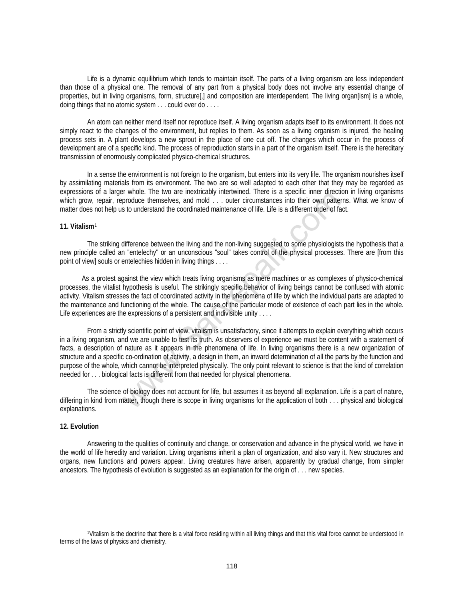Life is a dynamic equilibrium which tends to maintain itself. The parts of a living organism are less independent than those of a physical one. The removal of any part from a physical body does not involve any essential change of properties, but in living organisms, form, structure[,] and composition are interdependent. The living organ[ism] is a whole, doing things that no atomic system . . . could ever do . . . .

 An atom can neither mend itself nor reproduce itself. A living organism adapts itself to its environment. It does not simply react to the changes of the environment, but replies to them. As soon as a living organism is injured, the healing process sets in. A plant develops a new sprout in the place of one cut off. The changes which occur in the process of development are of a specific kind. The process of reproduction starts in a part of the organism itself. There is the hereditary transmission of enormously complicated physico-chemical structures.

 In a sense the environment is not foreign to the organism, but enters into its very life. The organism nourishes itself by assimilating materials from its environment. The two are so well adapted to each other that they may be regarded as expressions of a larger whole. The two are inextricably intertwined. There is a specific inner direction in living organisms which grow, repair, reproduce themselves, and mold . . . outer circumstances into their own patterns. What we know of matter does not help us to understand the coordinated maintenance of life. Life is a different order of fact.

#### **11. Vitalism**[1](#page-5-0)

 The striking difference between the living and the non-living suggested to some physiologists the hypothesis that a new principle called an "entelechy" or an unconscious "soul" takes control of the physical processes. There are [from this point of view] souls or entelechies hidden in living things . . . .

As a protest against the view which treats living organisms as mere machines or as complexes of physico-chemical processes, the vitalist hypothesis is useful. The strikingly specific behavior of living beings cannot be confused with atomic activity. Vitalism stresses the fact of coordinated activity in the phenomena of life by which the individual parts are adapted to the maintenance and functioning of the whole. The cause of the particular mode of existence of each part lies in the whole. Life experiences are the expressions of a persistent and indivisible unity . . . .

 From a strictly scientific point of view, vitalism is unsatisfactory, since it attempts to explain everything which occurs in a living organism, and we are unable to test its truth. As observers of experience we must be content with a statement of facts, a description of nature as it appears in the phenomena of life. In living organisms there is a new organization of structure and a specific co-ordination of activity, a design in them, an inward determination of all the parts by the function and purpose of the whole, which cannot be interpreted physically. The only point relevant to science is that the kind of correlation needed for . . . biological facts is different from that needed for physical phenomena. a whole. The two are intentuatory interevirwined. There is a spectration produce themselves, and mold ... outer circumstances into their own pattern order of fall the coordinated maintenance of life. Life is a different or

 The science of biology does not account for life, but assumes it as beyond all explanation. Life is a part of nature, differing in kind from matter, though there is scope in living organisms for the application of both . . . physical and biological explanations.

#### **12. Evolution**

 $\overline{a}$ 

 Answering to the qualities of continuity and change, or conservation and advance in the physical world, we have in the world of life heredity and variation. Living organisms inherit a plan of organization, and also vary it. New structures and organs, new functions and powers appear. Living creatures have arisen, apparently by gradual change, from simpler ancestors. The hypothesis of evolution is suggested as an explanation for the origin of . . . new species.

<span id="page-5-0"></span><sup>1</sup>Vitalism is the doctrine that there is a vital force residing within all living things and that this vital force cannot be understood in terms of the laws of physics and chemistry.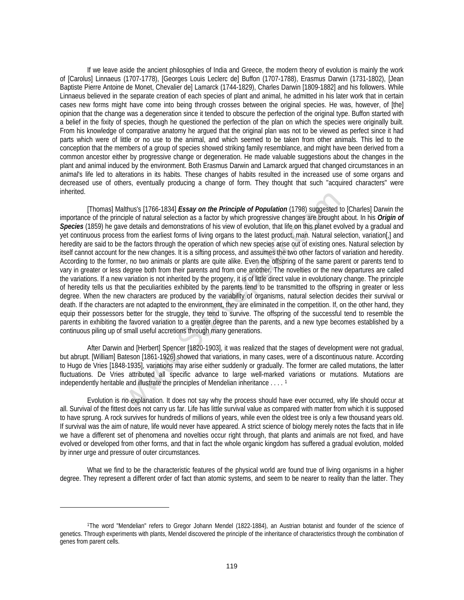If we leave aside the ancient philosophies of India and Greece, the modern theory of evolution is mainly the work of [Carolus] Linnaeus (1707-1778), [Georges Louis Leclerc de] Buffon (1707-1788), Erasmus Darwin (1731-1802), [Jean Baptiste Pierre Antoine de Monet, Chevalier de] Lamarck (1744-1829), Charles Darwin [1809-1882] and his followers. While Linnaeus believed in the separate creation of each species of plant and animal, he admitted in his later work that in certain cases new forms might have come into being through crosses between the original species. He was, however, of [the] opinion that the change was a degeneration since it tended to obscure the perfection of the original type. Buffon started with a belief in the fixity of species, though he questioned the perfection of the plan on which the species were originally built. From his knowledge of comparative anatomy he argued that the original plan was not to be viewed as perfect since it had parts which were of little or no use to the animal, and which seemed to be taken from other animals. This led to the conception that the members of a group of species showed striking family resemblance, and might have been derived from a common ancestor either by progressive change or degeneration. He made valuable suggestions about the changes in the plant and animal induced by the environment. Both Erasmus Darwin and Lamarck argued that changed circumstances in an animal's life led to alterations in its habits. These changes of habits resulted in the increased use of some organs and decreased use of others, eventually producing a change of form. They thought that such "acquired characters" were inherited.

 [Thomas] Malthus's [1766-1834] *Essay on the Principle of Population* (1798) suggested to [Charles] Darwin the importance of the principle of natural selection as a factor by which progressive changes are brought about. In his *Origin of Species* (1859) he gave details and demonstrations of his view of evolution, that life on this planet evolved by a gradual and yet continuous process from the earliest forms of living organs to the latest product, man. Natural selection, variation[,] and heredity are said to be the factors through the operation of which new species arise out of existing ones. Natural selection by itself cannot account for the new changes. It is a sifting process, and assumes the two other factors of variation and heredity. According to the former, no two animals or plants are quite alike. Even the offspring of the same parent or parents tend to vary in greater or less degree both from their parents and from one another. The novelties or the new departures are called the variations. If a new variation is not inherited by the progeny, it is of little direct value in evolutionary change. The principle of heredity tells us that the peculiarities exhibited by the parents tend to be transmitted to the offspring in greater or less degree. When the new characters are produced by the variability of organisms, natural selection decides their survival or death. If the characters are not adapted to the environment, they are eliminated in the competition. If, on the other hand, they equip their possessors better for the struggle, they tend to survive. The offspring of the successful tend to resemble the parents in exhibiting the favored variation to a greater degree than the parents, and a new type becomes established by a continuous piling up of small useful accretions through many generations. althus's (1766-1834) *Essay on the Principle of Population* (1798) suggested tiple of natural selection as a factor by which progressive changes are brought the details and demonstrations of his view of evolution, that li

 After Darwin and [Herbert] Spencer [1820-1903], it was realized that the stages of development were not gradual, but abrupt. [William] Bateson [1861-1926] showed that variations, in many cases, were of a discontinuous nature. According to Hugo de Vries [1848-1935], variations may arise either suddenly or gradually. The former are called mutations, the latter fluctuations. De Vries attributed all specific advance to large well-marked variations or mutations. Mutations are independently heritable and illustrate the principles of Mendelian inheritance . . . . 1

 Evolution is no explanation. It does not say why the process should have ever occurred, why life should occur at all. Survival of the fittest does not carry us far. Life has little survival value as compared with matter from which it is supposed to have sprung. A rock survives for hundreds of millions of years, while even the oldest tree is only a few thousand years old. If survival was the aim of nature, life would never have appeared. A strict science of biology merely notes the facts that in life we have a different set of phenomena and novelties occur right through, that plants and animals are not fixed, and have evolved or developed from other forms, and that in fact the whole organic kingdom has suffered a gradual evolution, molded by inner urge and pressure of outer circumstances.

 What we find to be the characteristic features of the physical world are found true of living organisms in a higher degree. They represent a different order of fact than atomic systems, and seem to be nearer to reality than the latter. They

 $\overline{a}$ 

<span id="page-6-0"></span><sup>1</sup>The word "Mendelian" refers to Gregor Johann Mendel (1822-1884), an Austrian botanist and founder of the science of genetics. Through experiments with plants, Mendel discovered the principle of the inheritance of characteristics through the combination of genes from parent cells.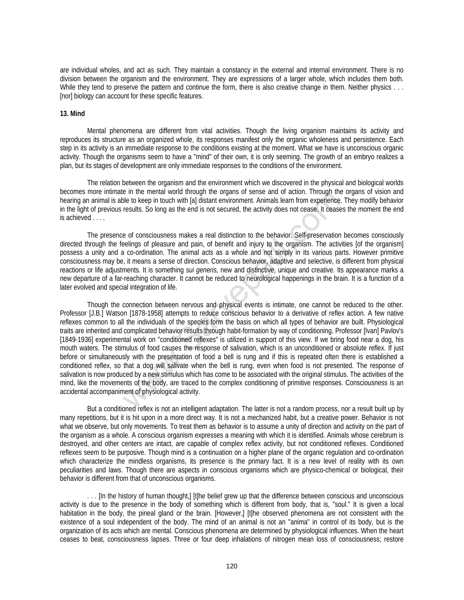are individual wholes, and act as such. They maintain a constancy in the external and internal environment. There is no division between the organism and the environment. They are expressions of a larger whole, which includes them both. While they tend to preserve the pattern and continue the form, there is also creative change in them. Neither physics . . . [nor] biology can account for these specific features.

#### **13. Mind**

 Mental phenomena are different from vital activities. Though the living organism maintains its activity and reproduces its structure as an organized whole, its responses manifest only the organic wholeness and persistence. Each step in its activity is an immediate response to the conditions existing at the moment. What we have is unconscious organic activity. Though the organisms seem to have a "mind" of their own, it is only seeming. The growth of an embryo realizes a plan, but its stages of development are only immediate responses to the conditions of the environment.

 The relation between the organism and the environment which we discovered in the physical and biological worlds becomes more intimate in the mental world through the organs of sense and of action. Through the organs of vision and hearing an animal is able to keep in touch with [a] distant environment. Animals learn from experience. They modify behavior in the light of previous results. So long as the end is not secured, the activity does not cease. It ceases the moment the end is achieved . . . .

 The presence of consciousness makes a real distinction to the behavior. Self-preservation becomes consciously directed through the feelings of pleasure and pain, of benefit and injury to the organism. The activities [of the organism] possess a unity and a co-ordination. The animal acts as a whole and not simply in its various parts. However primitive consciousness may be, it means a sense of direction. Conscious behavior, adaptive and selective, is different from physical reactions or life adjustments. It is something *sui generis,* new and distinctive, unique and creative. Its appearance marks a new departure of a far-reaching character. It cannot be reduced to neurological happenings in the brain. It is a function of a later evolved and special integration of life.

 Though the connection between nervous and physical events is intimate, one cannot be reduced to the other. Professor [J.B.] Watson [1878-1958] attempts to reduce conscious behavior to a derivative of reflex action. A few native reflexes common to all the individuals of the species form the basis on which all types of behavior are built. Physiological traits are inherited and complicated behavior results through habit-formation by way of conditioning. Professor [Ivan] Pavlov's [1849-1936] experimental work on "conditioned reflexes" is utilized in support of this view. If we bring food near a dog, his mouth waters. The stimulus of food causes the response of salivation, which is an unconditioned or absolute reflex. If just before or simultaneously with the presentation of food a bell is rung and if this is repeated often there is established a conditioned reflex, so that a dog will salivate when the bell is rung, even when food is not presented. The response of salivation is now produced by a new stimulus which has come to be associated with the original stimulus. The activities of the mind, like the movements of the body, are traced to the complex conditioning of primitive responses. Consciousness is an accidental accompaniment of physiological activity. e in the methan wond unough the Ugains of sease and of actions. Through the seep in touch with [a] distant environment. Animals learn from experience results. So long as the end is not secured, the activity does not cease.

 But a conditioned reflex is not an intelligent adaptation. The latter is not a random process, nor a result built up by many repetitions, but it is hit upon in a more direct way. It is not a mechanized habit, but a creative power. Behavior is not what we observe, but only movements. To treat them as behavior is to assume a unity of direction and activity on the part of the organism as a whole. A conscious organism expresses a meaning with which it is identified. Animals whose cerebrum is destroyed, and other centers are intact, are capable of complex reflex activity, but not conditioned reflexes. Conditioned reflexes seem to be purposive. Though mind is a continuation on a higher plane of the organic regulation and co-ordination which characterize the mindless organisms, its presence is the primary fact. It is a new level of reality with its own peculiarities and laws. Though there are aspects in conscious organisms which are physico-chemical or biological, their behavior is different from that of unconscious organisms.

 . . . [In the history of human thought,] [t]he belief grew up that the difference between conscious and unconscious activity is due to the presence in the body of something which is different from body, that is, "soul." It is given a local habitation in the body, the pineal gland or the brain. [However,] [t]he observed phenomena are not consistent with the existence of a soul independent of the body. The mind of an animal is not an "anima" in control of its body, but is the organization of its acts which are mental. Conscious phenomena are determined by physiological influences. When the heart ceases to beat, consciousness lapses. Three or four deep inhalations of nitrogen mean loss of consciousness; restore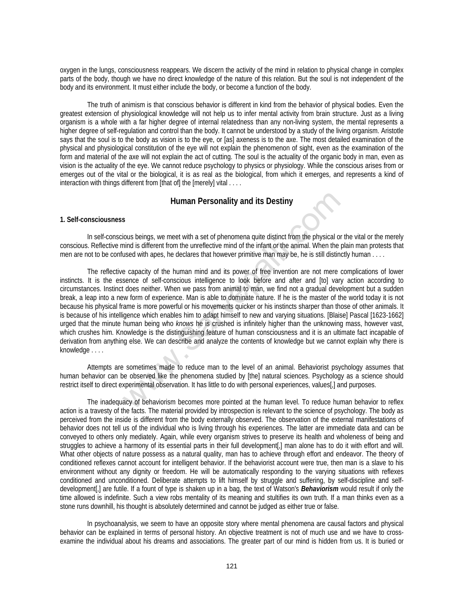oxygen in the lungs, consciousness reappears. We discern the activity of the mind in relation to physical change in complex parts of the body, though we have no direct knowledge of the nature of this relation. But the soul is not independent of the body and its environment. It must either include the body, or become a function of the body.

 The truth of animism is that conscious behavior is different in kind from the behavior of physical bodies. Even the greatest extension of physiological knowledge will not help us to infer mental activity from brain structure. Just as a living organism is a whole with a far higher degree of internal relatedness than any non-living system, the mental represents a higher degree of self-regulation and control than the body. It cannot be understood by a study of the living organism. Aristotle says that the soul is to the body as vision is to the eye, or [as] axeness is to the axe. The most detailed examination of the physical and physiological constitution of the eye will not explain the phenomenon of sight, even as the examination of the form and material of the axe will not explain the act of cutting. The soul is the actuality of the organic body in man, even as vision is the actuality of the eye. We cannot reduce psychology to physics or physiology. While the conscious arises from or emerges out of the vital or the biological, it is as real as the biological, from which it emerges, and represents a kind of interaction with things different from [that of] the [merely] vital . . . .

### **Human Personality and its Destiny**

#### **1. Self-consciousness**

 In self-conscious beings, we meet with a set of phenomena quite distinct from the physical or the vital or the merely conscious. Reflective mind is different from the unreflective mind of the infant or the animal. When the plain man protests that men are not to be confused with apes, he declares that however primitive man may be, he is still distinctly human . . . .

 The reflective capacity of the human mind and its power of free invention are not mere complications of lower instincts. It is the essence of self-conscious intelligence to look before and after and [to] vary action according to circumstances. Instinct does neither. When we pass from animal to man, we find not a gradual development but a sudden break, a leap into a new form of experience. Man is able to dominate nature. If he is the master of the world today it is not because his physical frame is more powerful or his movements quicker or his instincts sharper than those of other animals. It is because of his intelligence which enables him to adapt himself to new and varying situations. [Blaise] Pascal [1623-1662] urged that the minute human being who *knows* he is crushed is infinitely higher than the unknowing mass, however vast, which crushes him. Knowledge is the distinguishing feature of human consciousness and it is an ultimate fact incapable of derivation from anything else. We can describe and analyze the contents of knowledge but we cannot explain why there is knowledge . . . . **Human Personality and its Destiny**<br>s<br>s<br>ious beings, we meet with a set of phenomena quite distinct from the physical oi<br>inid is different from the unreflective mind of the infant or the animal. When the<br>used with apes, he

 Attempts are sometimes made to reduce man to the level of an animal. Behaviorist psychology assumes that human behavior can be observed like the phenomena studied by [the] natural sciences. Psychology as a science should restrict itself to direct experimental observation. It has little to do with personal experiences, values[,] and purposes.

 The inadequacy of behaviorism becomes more pointed at the human level. To reduce human behavior to reflex action is a travesty of the facts. The material provided by introspection is relevant to the science of psychology. The body as perceived from the inside is different from the body externally observed. The observation of the external manifestations of behavior does not tell us of the individual who is living through his experiences. The latter are immediate data and can be conveyed to others only mediately. Again, while every organism strives to preserve its health and wholeness of being and struggles to achieve a harmony of its essential parts in their full development[,] man alone has to do it with effort and will. What other objects of nature possess as a natural quality, man has to achieve through effort and endeavor. The theory of conditioned reflexes cannot account for intelligent behavior. If the behaviorist account were true, then man is a slave to his environment without any dignity or freedom. He will be automatically responding to the varying situations with reflexes conditioned and unconditioned. Deliberate attempts to lift himself by struggle and suffering, by self-discipline and selfdevelopment[,] are futile. If a fount of type is shaken up in a bag, the text of Watson's *Behaviorism* would result if only the time allowed is indefinite. Such a view robs mentality of its meaning and stultifies its own truth. If a man thinks even as a stone runs downhill, his thought is absolutely determined and cannot be judged as either true or false.

 In psychoanalysis, we seem to have an opposite story where mental phenomena are causal factors and physical behavior can be explained in terms of personal history. An objective treatment is not of much use and we have to crossexamine the individual about his dreams and associations. The greater part of our mind is hidden from us. It is buried or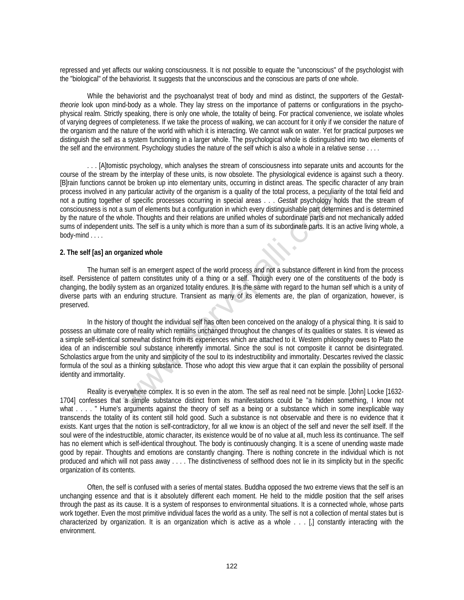repressed and yet affects our waking consciousness. It is not possible to equate the "unconscious" of the psychologist with the "biological" of the behaviorist. It suggests that the unconscious and the conscious are parts of one whole.

 While the behaviorist and the psychoanalyst treat of body and mind as distinct, the supporters of the *Gestalttheorie* look upon mind-body as a whole. They lay stress on the importance of patterns or configurations in the psychophysical realm. Strictly speaking, there is only one whole, the totality of being. For practical convenience, we isolate wholes of varying degrees of completeness. If we take the process of walking, we can account for it only if we consider the nature of the organism and the nature of the world with which it is interacting. We cannot walk on water. Yet for practical purposes we distinguish the self as a system functioning in a larger whole. The psychological whole is distinguished into two elements of the self and the environment. Psychology studies the nature of the self which is also a whole in a relative sense . . . .

 . . . [A]tomistic psychology, which analyses the stream of consciousness into separate units and accounts for the course of the stream by the interplay of these units, is now obsolete. The physiological evidence is against such a theory. [B]rain functions cannot be broken up into elementary units, occurring in distinct areas. The specific character of any brain process involved in any particular activity of the organism is a quality of the total process, a peculiarity of the total field and not a putting together of specific processes occurring in special areas . . . *Gestalt* psychology holds that the stream of consciousness is not a sum of elements but a configuration in which every distinguishable part determines and is determined by the nature of the whole. Thoughts and their relations are unified wholes of subordinate parts and not mechanically added sums of independent units. The self is a unity which is more than a sum of its subordinate parts. It is an active living whole, a body-mind . . . .

#### **2. The self [as] an organized whole**

 The human self is an emergent aspect of the world process and not a substance different in kind from the process itself. Persistence of pattern constitutes unity of a thing or a self. Though every one of the constituents of the body is changing, the bodily system as an organized totality endures. It is the same with regard to the human self which is a unity of diverse parts with an enduring structure. Transient as many of its elements are, the plan of organization, however, is preserved.

 In the history of thought the individual self has often been conceived on the analogy of a physical thing. It is said to possess an ultimate core of reality which remains unchanged throughout the changes of its qualities or states. It is viewed as a simple self-identical somewhat distinct from its experiences which are attached to it. Western philosophy owes to Plato the idea of an indiscernible soul substance inherently immortal. Since the soul is not composite it cannot be disintegrated. Scholastics argue from the unity and simplicity of the soul to its indestructibility and immortality. Descartes revived the classic formula of the soul as a thinking substance. Those who adopt this view argue that it can explain the possibility of personal identity and immortality. by particular alternal in specific processes occurring in special raps ... Gestalt psychology ho<br>of specific processes occurring in special raeas ... Gestalt psychology ho<br>sum of elements but a configuration in which ever

 Reality is everywhere complex. It is so even in the atom. The self as real need not be simple. [John] Locke [1632- 1704] confesses that a simple substance distinct from its manifestations could be "a hidden something, I know not what . . . . " Hume's arguments against the theory of self as a being or a substance which in some inexplicable way transcends the totality of its content still hold good. Such a substance is not observable and there is no evidence that it exists. Kant urges that the notion is self-contradictory, for all we know is an object of the self and never the self itself. If the soul were of the indestructible, atomic character, its existence would be of no value at all, much less its continuance. The self has no element which is self-identical throughout. The body is continuously changing. It is a scene of unending waste made good by repair. Thoughts and emotions are constantly changing. There is nothing concrete in the individual which is not produced and which will not pass away . . . . The distinctiveness of selfhood does not lie in its simplicity but in the specific organization of its contents.

 Often, the self is confused with a series of mental states. Buddha opposed the two extreme views that the self is an unchanging essence and that is it absolutely different each moment. He held to the middle position that the self arises through the past as its cause. It is a system of responses to environmental situations. It is a connected whole, whose parts work together. Even the most primitive individual faces the world as a unity. The self is not a collection of mental states but is characterized by organization. It is an organization which is active as a whole . . . [,] constantly interacting with the environment.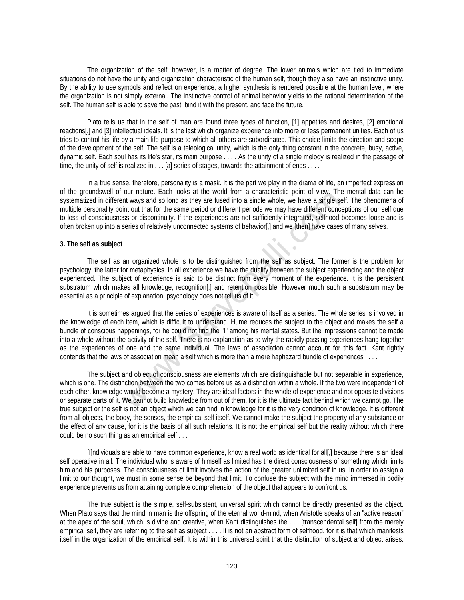The organization of the self, however, is a matter of degree. The lower animals which are tied to immediate situations do not have the unity and organization characteristic of the human self, though they also have an instinctive unity. By the ability to use symbols and reflect on experience, a higher synthesis is rendered possible at the human level, where the organization is not simply external. The instinctive control of animal behavior yields to the rational determination of the self. The human self is able to save the past, bind it with the present, and face the future.

 Plato tells us that in the self of man are found three types of function, [1] appetites and desires, [2] emotional reactions[,] and [3] intellectual ideals. It is the last which organize experience into more or less permanent unities. Each of us tries to control his life by a main life-purpose to which all others are subordinated. This choice limits the direction and scope of the development of the self. The self is a teleological unity, which is the only thing constant in the concrete, busy, active, dynamic self. Each soul has its life's star, its main purpose . . . . As the unity of a single melody is realized in the passage of time, the unity of self is realized in . . . [a] series of stages, towards the attainment of ends . . . .

 In a true sense, therefore, personality is a mask. It is the part we play in the drama of life, an imperfect expression of the groundswell of our nature. Each looks at the world from a characteristic point of view. The mental data can be systematized in different ways and so long as they are fused into a single whole, we have a single self. The phenomena of multiple personality point out that for the same period or different periods we may have different conceptions of our self due to loss of consciousness or discontinuity. If the experiences are not sufficiently integrated, selfhood becomes loose and is often broken up into a series of relatively unconnected systems of behavior[,] and we [then] have cases of many selves.

#### **3. The self as subject**

 The self as an organized whole is to be distinguished from the self as subject. The former is the problem for psychology, the latter for metaphysics. In all experience we have the duality between the subject experiencing and the object experienced. The subject of experience is said to be distinct from every moment of the experience. It is the persistent substratum which makes all knowledge, recognition[,] and retention possible. However much such a substratum may be essential as a principle of explanation, psychology does not tell us of it.

 It is sometimes argued that the series of experiences is aware of itself as a series. The whole series is involved in the knowledge of each item, which is difficult to understand. Hume reduces the subject to the object and makes the self a bundle of conscious happenings, for he could not find the "I" among his mental states. But the impressions cannot be made into a whole without the activity of the self. There is no explanation as to why the rapidly passing experiences hang together as the experiences of one and the same individual. The laws of association cannot account for this fact. Kant rightly contends that the laws of association mean a self which is more than a mere haphazard bundle of experiences . . . . our liature. Eactivity of the saft univorial current of a characteristic point of the word in the same period or different periods we may have different concess or discontinuity. If the experiences are not sufficiently int

 The subject and object of consciousness are elements which are distinguishable but not separable in experience, which is one. The distinction between the two comes before us as a distinction within a whole. If the two were independent of each other, knowledge would become a mystery. They are ideal factors in the whole of experience and not opposite divisions or separate parts of it. We cannot build knowledge from out of them, for it is the ultimate fact behind which we cannot go. The true subject or the self is not an object which we can find in knowledge for it is the very condition of knowledge. It is different from all objects, the body, the senses, the empirical self itself. We cannot make the subject the property of any substance or the effect of any cause, for it is the basis of all such relations. It is not the empirical self but the reality without which there could be no such thing as an empirical self . . . .

 [I]ndividuals are able to have common experience, know a real world as identical for all[,] because there is an ideal self operative in all. The individual who is aware of himself as limited has the direct consciousness of something which limits him and his purposes. The consciousness of limit involves the action of the greater unlimited self in us. In order to assign a limit to our thought, we must in some sense be beyond that limit. To confuse the subject with the mind immersed in bodily experience prevents us from attaining complete comprehension of the object that appears to confront us.

 The true subject is the simple, self-subsistent, universal spirit which cannot be directly presented as the object. When Plato says that the mind in man is the offspring of the eternal world-mind, when Aristotle speaks of an "active reason" at the apex of the soul, which is divine and creative, when Kant distinguishes the . . . [transcendental self] from the merely empirical self, they are referring to the self as subject . . . . It is not an abstract form of selfhood, for it is that which manifests itself in the organization of the empirical self. It is within this universal spirit that the distinction of subject and object arises.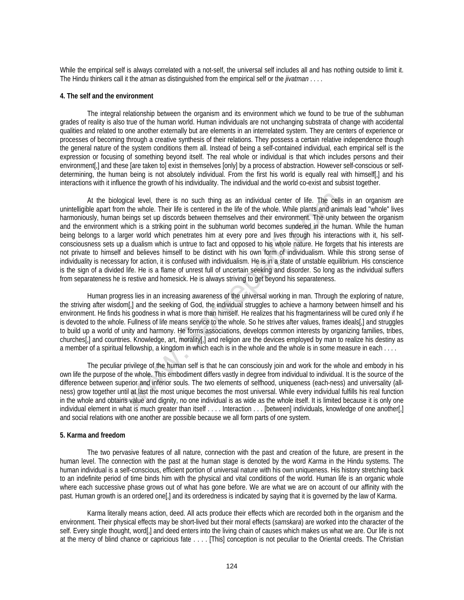While the empirical self is always correlated with a not-self, the universal self includes all and has nothing outside to limit it. The Hindu thinkers call it the *atman* as distinguished from the empirical self or the *jivatman* . . . .

#### **4. The self and the environment**

 The integral relationship between the organism and its environment which we found to be true of the subhuman grades of reality is also true of the human world. Human individuals are not unchanging substrata of change with accidental qualities and related to one another externally but are elements in an interrelated system. They are centers of experience or processes of becoming through a creative synthesis of their relations. They possess a certain relative independence though the general nature of the system conditions them all. Instead of being a self-contained individual, each empirical self is the expression or focusing of something beyond itself. The real whole or individual is that which includes persons and their environment[,] and these [are taken to] exist in themselves [only] by a process of abstraction. However self-conscious or selfdetermining, the human being is not absolutely individual. From the first his world is equally real with himself[,] and his interactions with it influence the growth of his individuality. The individual and the world co-exist and subsist together.

 At the biological level, there is no such thing as an individual center of life. The cells in an organism are unintelligible apart from the whole. Their life is centered in the life of the whole. While plants and animals lead "whole" lives harmoniously, human beings set up discords between themselves and their environment. The unity between the organism and the environment which is a striking point in the subhuman world becomes sundered in the human. While the human being belongs to a larger world which penetrates him at every pore and lives through his interactions with it, his selfconsciousness sets up a dualism which is untrue to fact and opposed to his whole nature. He forgets that his interests are not private to himself and believes himself to be distinct with his own form of individualism. While this strong sense of individuality is necessary for action, it is confused with individualism. He is in a state of unstable equilibrium. His conscience is the sign of a divided life. He is a flame of unrest full of uncertain seeking and disorder. So long as the individual suffers from separateness he is restive and homesick. He is always striving to get beyond his separateness. gical level, there is no such thing as an individual center of life. The cells<br>n the whole. Their life is centered in the life of the whole. While plants and anin<br>beings set up discords between themselves and their environ

 Human progress lies in an increasing awareness of the universal working in man. Through the exploring of nature, the striving after wisdom[,] and the seeking of God, the individual struggles to achieve a harmony between himself and his environment. He finds his goodness in what is more than himself. He realizes that his fragmentariness will be cured only if he is devoted to the whole. Fullness of life means service to the whole. So he strives after values, frames ideals[,] and struggles to build up a world of unity and harmony. He forms associations, develops common interests by organizing families, tribes, churches[,] and countries. Knowledge, art, morality[,] and religion are the devices employed by man to realize his destiny as a member of a spiritual fellowship, a kingdom in which each is in the whole and the whole is in some measure in each . . . .

 The peculiar privilege of the human self is that he can consciously join and work for the whole and embody in his own life the purpose of the whole. This embodiment differs vastly in degree from individual to individual. It is the source of the difference between superior and inferior souls. The two elements of selfhood, uniqueness (each-ness) and universality (allness) grow together until at last the most unique becomes the most universal. While every individual fulfills his real function in the whole and obtains value and dignity, no one individual is as wide as the whole itself. It is limited because it is only one individual element in what is much greater than itself . . . . Interaction . . . [between] individuals, knowledge of one another[,] and social relations with one another are possible because we all form parts of one system.

#### **5. Karma and freedom**

 The two pervasive features of all nature, connection with the past and creation of the future, are present in the human level. The connection with the past at the human stage is denoted by the word *Karma* in the Hindu systems. The human individual is a self-conscious, efficient portion of universal nature with his own uniqueness. His history stretching back to an indefinite period of time binds him with the physical and vital conditions of the world. Human life is an organic whole where each successive phase grows out of what has gone before. We are what we are on account of our affinity with the past. Human growth is an ordered one[,] and its orderedness is indicated by saying that it is governed by the law of Karma.

 Karma literally means action, deed. All acts produce their effects which are recorded both in the organism and the environment. Their physical effects may be short-lived but their moral effects (*samskara*) are worked into the character of the self. Every single thought, word[,] and deed enters into the living chain of causes which makes us what we are. Our life is not at the mercy of blind chance or capricious fate . . . . [This] conception is not peculiar to the Oriental creeds. The Christian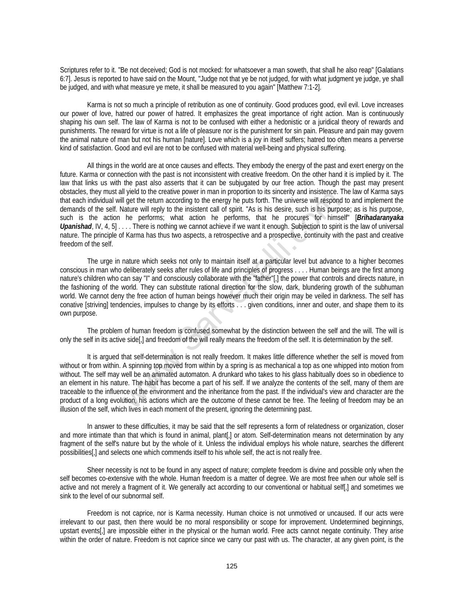Scriptures refer to it. "Be not deceived; God is not mocked: for whatsoever a man soweth, that shall he also reap" [Galatians 6:7]. Jesus is reported to have said on the Mount, "Judge not that ye be not judged, for with what judgment ye judge, ye shall be judged, and with what measure ye mete, it shall be measured to you again" [Matthew 7:1-2].

 Karma is not so much a principle of retribution as one of continuity. Good produces good, evil evil. Love increases our power of love, hatred our power of hatred. It emphasizes the great importance of right action. Man is continuously shaping his own self. The law of Karma is not to be confused with either a hedonistic or a juridical theory of rewards and punishments. The reward for virtue is not a life of pleasure nor is the punishment for sin pain. Pleasure and pain may govern the animal nature of man but not his human [nature]. Love which is a joy in itself suffers; hatred too often means a perverse kind of satisfaction. Good and evil are not to be confused with material well-being and physical suffering.

 All things in the world are at once causes and effects. They embody the energy of the past and exert energy on the future. Karma or connection with the past is not inconsistent with creative freedom. On the other hand it is implied by it. The law that links us with the past also asserts that it can be subjugated by our free action. Though the past may present obstacles, they must all yield to the creative power in man in proportion to its sincerity and insistence. The law of Karma says that each individual will get the return according to the energy he puts forth. The universe will respond to and implement the demands of the self. Nature will reply to the insistent call of spirit. "As is his desire, such is his purpose; as is his purpose, such is the action he performs; what action he performs, that he procures for himself" [*Brihadaranyaka Upanishad*, IV, 4, 5] . . . . There is nothing we cannot achieve if we want it enough. Subjection to spirit is the law of universal nature. The principle of Karma has thus two aspects, a retrospective and a prospective, continuity with the past and creative freedom of the self.

 The urge in nature which seeks not only to maintain itself at a particular level but advance to a higher becomes conscious in man who deliberately seeks after rules of life and principles of progress . . . . Human beings are the first among nature's children who can say "I" and consciously collaborate with the "father"[,] the power that controls and directs nature, in the fashioning of the world. They can substitute rational direction for the slow, dark, blundering growth of the subhuman world. We cannot deny the free action of human beings however much their origin may be veiled in darkness. The self has conative [striving] tendencies, impulses to change by its efforts . . . given conditions, inner and outer, and shape them to its own purpose. when the clear word in industry and instance the protein and interest the section, his suite pay the return according to the energy he puts forth. The universe will respondature will reply to the insistent call of spirit.

 The problem of human freedom is confused somewhat by the distinction between the self and the will. The will is only the self in its active side[,] and freedom of the will really means the freedom of the self. It is determination by the self.

 It is argued that self-determination is not really freedom. It makes little difference whether the self is moved from without or from within. A spinning top moved from within by a spring is as mechanical a top as one whipped into motion from without. The self may well be an animated automaton. A drunkard who takes to his glass habitually does so in obedience to an element in his nature. The habit has become a part of his self. If we analyze the contents of the self, many of them are traceable to the influence of the environment and the inheritance from the past. If the individual's view and character are the product of a long evolution, his actions which are the outcome of these cannot be free. The feeling of freedom may be an illusion of the self, which lives in each moment of the present, ignoring the determining past.

 In answer to these difficulties, it may be said that the self represents a form of relatedness or organization, closer and more intimate than that which is found in animal, plant[,] or atom. Self-determination means not determination by any fragment of the self's nature but by the whole of it. Unless the individual employs his whole nature, searches the different possibilities[,] and selects one which commends itself to his whole self, the act is not really free.

 Sheer necessity is not to be found in any aspect of nature; complete freedom is divine and possible only when the self becomes co-extensive with the whole. Human freedom is a matter of degree. We are most free when our whole self is active and not merely a fragment of it. We generally act according to our conventional or habitual self[,] and sometimes we sink to the level of our subnormal self.

 Freedom is not caprice, nor is Karma necessity. Human choice is not unmotived or uncaused. If our acts were irrelevant to our past, then there would be no moral responsibility or scope for improvement. Undetermined beginnings, upstart events[,] are impossible either in the physical or the human world. Free acts cannot negate continuity. They arise within the order of nature. Freedom is not caprice since we carry our past with us. The character, at any given point, is the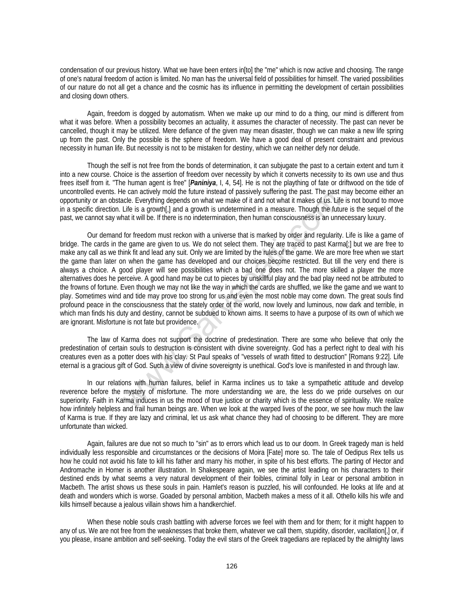condensation of our previous history. What we have been enters in[to] the "me" which is now active and choosing. The range of one's natural freedom of action is limited. No man has the universal field of possibilities for himself. The varied possibilities of our nature do not all get a chance and the cosmic has its influence in permitting the development of certain possibilities and closing down others.

 Again, freedom is dogged by automatism. When we make up our mind to do a thing, our mind is different from what it was before. When a possibility becomes an actuality, it assumes the character of necessity. The past can never be cancelled, though it may be utilized. Mere defiance of the given may mean disaster, though we can make a new life spring up from the past. Only the possible is the sphere of freedom. We have a good deal of present constraint and previous necessity in human life. But necessity is not to be mistaken for destiny, which we can neither defy nor delude.

 Though the self is not free from the bonds of determination, it can subjugate the past to a certain extent and turn it into a new course. Choice is the assertion of freedom over necessity by which it converts necessity to its own use and thus frees itself from it. "The human agent is free" [*Paniniya*, I, 4, 54]. He is not the plaything of fate or driftwood on the tide of uncontrolled events. He can actively mold the future instead of passively suffering the past. The past may become either an opportunity or an obstacle. Everything depends on what we make of it and not what it makes of us. Life is not bound to move in a specific direction. Life is a growth[,] and a growth is undetermined in a measure. Though the future is the sequel of the past, we cannot say what it will be. If there is no indetermination, then human consciousness is an unnecessary luxury.

 Our demand for freedom must reckon with a universe that is marked by order and regularity. Life is like a game of bridge. The cards in the game are given to us. We do not select them. They are traced to past Karma[;] but we are free to make any call as we think fit and lead any suit. Only we are limited by the rules of the game. We are more free when we start the game than later on when the game has developed and our choices become restricted. But till the very end there is always a choice. A good player will see possibilities which a bad one does not. The more skilled a player the more alternatives does he perceive. A good hand may be cut to pieces by unskillful play and the bad play need not be attributed to the frowns of fortune. Even though we may not like the way in which the cards are shuffled, we like the game and we want to play. Sometimes wind and tide may prove too strong for us and even the most noble may come down. The great souls find profound peace in the consciousness that the stately order of the world, now lovely and luminous, now dark and terrible, in which man finds his duty and destiny, cannot be subdued to known aims. It seems to have a purpose of its own of which we are ignorant. Misfortune is not fate but providence. e can actuvery into due unture instead of yassivery surreling the past. The past<br>Ecle. Everything depends on what we make of it and not what it makes of us. Lift<br>Life is a growth[] and a growth is undetermination, then hum

 The law of Karma does not support the doctrine of predestination. There are some who believe that only the predestination of certain souls to destruction is consistent with divine sovereignty. God has a perfect right to deal with his creatures even as a potter does with his clay. St Paul speaks of "vessels of wrath fitted to destruction" [Romans 9:22]. Life eternal is a gracious gift of God. Such a view of divine sovereignty is unethical. God's love is manifested in and through law.

 In our relations with human failures, belief in Karma inclines us to take a sympathetic attitude and develop reverence before the mystery of misfortune. The more understanding we are, the less do we pride ourselves on our superiority. Faith in Karma induces in us the mood of true justice or charity which is the essence of spirituality. We realize how infinitely helpless and frail human beings are. When we look at the warped lives of the poor, we see how much the law of Karma is true. If they are lazy and criminal, let us ask what chance they had of choosing to be different. They are more unfortunate than wicked.

 Again, failures are due not so much to "sin" as to errors which lead us to our doom. In Greek tragedy man is held individually less responsible and circumstances or the decisions of Moira [Fate] more so. The tale of Oedipus Rex tells us how he could not avoid his fate to kill his father and marry his mother, in spite of his best efforts. The parting of Hector and Andromache in Homer is another illustration. In Shakespeare again, we see the artist leading on his characters to their destined ends by what seems a very natural development of their foibles, criminal folly in Lear or personal ambition in Macbeth. The artist shows us these souls in pain. Hamlet's reason is puzzled, his will confounded. He looks at life and at death and wonders which is worse. Goaded by personal ambition, Macbeth makes a mess of it all. Othello kills his wife and kills himself because a jealous villain shows him a handkerchief.

 When these noble souls crash battling with adverse forces we feel with them and for them; for it might happen to any of us. We are not free from the weaknesses that broke them, whatever we call them, stupidity, disorder, vacillation[,] or, if you please, insane ambition and self-seeking. Today the evil stars of the Greek tragedians are replaced by the almighty laws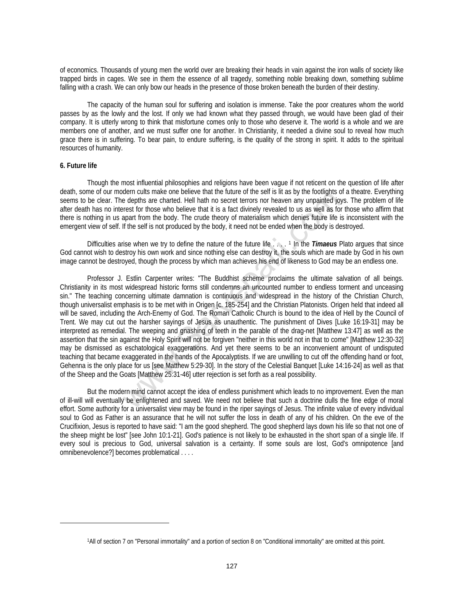of economics. Thousands of young men the world over are breaking their heads in vain against the iron walls of society like trapped birds in cages. We see in them the essence of all tragedy, something noble breaking down, something sublime falling with a crash. We can only bow our heads in the presence of those broken beneath the burden of their destiny.

 The capacity of the human soul for suffering and isolation is immense. Take the poor creatures whom the world passes by as the lowly and the lost. If only we had known what they passed through, we would have been glad of their company. It is utterly wrong to think that misfortune comes only to those who deserve it. The world is a whole and we are members one of another, and we must suffer one for another. In Christianity, it needed a divine soul to reveal how much grace there is in suffering. To bear pain, to endure suffering, is the quality of the strong in spirit. It adds to the spiritual resources of humanity.

#### **6. Future life**

<span id="page-14-0"></span> $\overline{a}$ 

 Though the most influential philosophies and religions have been vague if not reticent on the question of life after death, some of our modern cults make one believe that the future of the self is lit as by the footlights of a theatre. Everything seems to be clear. The depths are charted. Hell hath no secret terrors nor heaven any unpainted joys. The problem of life after death has no interest for those who believe that it is a fact divinely revealed to us as well as for those who affirm that there is nothing in us apart from the body. The crude theory of materialism which denies future life is inconsistent with the emergent view of self. If the self is not produced by the body, it need not be ended when the body is destroyed.

 Difficulties arise when we try to define the nature of the future life . . . . 1 In the *Timaeus* Plato argues that since God cannot wish to destroy his own work and since nothing else can destroy it, the souls which are made by God in his own image cannot be destroyed, though the process by which man achieves his end of likeness to God may be an endless one.

 Professor J. Estlin Carpenter writes: "The Buddhist scheme proclaims the ultimate salvation of all beings. Christianity in its most widespread historic forms still condemns an uncounted number to endless torment and unceasing sin." The teaching concerning ultimate damnation is continuous and widespread in the history of the Christian Church, though universalist emphasis is to be met with in Origen [c. 185-254] and the Christian Platonists. Origen held that indeed all will be saved, including the Arch-Enemy of God. The Roman Catholic Church is bound to the idea of Hell by the Council of Trent. We may cut out the harsher sayings of Jesus as unauthentic. The punishment of Dives [Luke 16:19-31] may be interpreted as remedial. The weeping and gnashing of teeth in the parable of the drag-net [Matthew 13:47] as well as the assertion that the sin against the Holy Spirit will not be forgiven "neither in this world not in that to come" [Matthew 12:30-32] may be dismissed as eschatological exaggerations. And yet there seems to be an inconvenient amount of undisputed teaching that became exaggerated in the hands of the Apocalyptists. If we are unwilling to cut off the offending hand or foot, Gehenna is the only place for us [see Matthew 5:29-30]. In the story of the Celestial Banquet [Luke 14:16-24] as well as that of the Sheep and the Goats [Matthew 25:31-46] utter rejection is set forth as a real possibility. e depths are one entere trat the thure of the sear [i](#page-14-0)s in as by the looting intera[c](#page-14-0)t that the transministrical and saved. Hell halth no secret terrors nor heaven any unpainted jorders for those who believe that it is a fact

 But the modern mind cannot accept the idea of endless punishment which leads to no improvement. Even the man of ill-will will eventually be enlightened and saved. We need not believe that such a doctrine dulls the fine edge of moral effort. Some authority for a universalist view may be found in the riper sayings of Jesus. The infinite value of every individual soul to God as Father is an assurance that he will not suffer the loss in death of any of his children. On the eve of the Crucifixion, Jesus is reported to have said: "I am the good shepherd. The good shepherd lays down his life so that not one of the sheep might be lost" [see John 10:1-21]. God's patience is not likely to be exhausted in the short span of a single life. If every soul is precious to God, universal salvation is a certainty. If some souls are lost, God's omnipotence [and omnibenevolence?] becomes problematical . . . .

<sup>1</sup>All of section 7 on "Personal immortality" and a portion of section 8 on "Conditional immortality" are omitted at this point.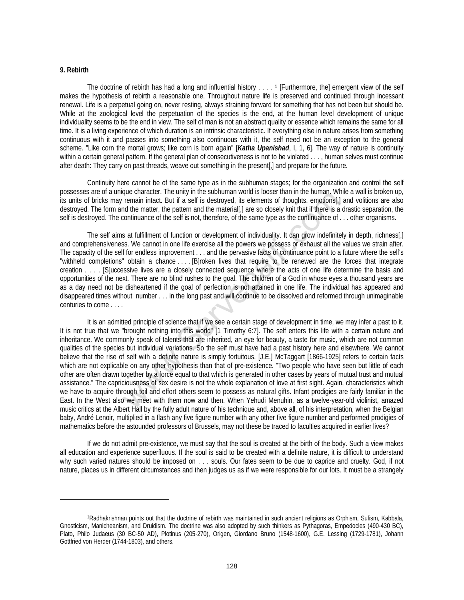#### **9. Rebirth**

 $\overline{a}$ 

The doctrine of rebirth has had a long and influential history  $\dots$  [1](#page-15-0) [Furthermore, the] emergent view of the self makes the hypothesis of rebirth a reasonable one. Throughout nature life is preserved and continued through incessant renewal. Life is a perpetual going on, never resting, always straining forward for something that has not been but should be. While at the zoological level the perpetuation of the species is the end, at the human level development of unique individuality seems to be the end in view. The self of man is not an abstract quality or essence which remains the same for all time. It is a living experience of which duration is an intrinsic characteristic. If everything else in nature arises from something continuous with it and passes into something also continuous with it, the self need not be an exception to the general scheme. "Like corn the mortal grows; like corn is born again" [*Katha Upanishad*, I, 1, 6]. The way of nature is continuity within a certain general pattern. If the general plan of consecutiveness is not to be violated . . . , human selves must continue after death: They carry on past threads, weave out something in the present[,] and prepare for the future.

 Continuity here cannot be of the same type as in the subhuman stages; for the organization and control the self possesses are of a unique character. The unity in the subhuman world is looser than in the human. While a wall is broken up, its units of bricks may remain intact. But if a self is destroyed, its elements of thoughts, emotions[,] and volitions are also destroyed. The form and the matter, the pattern and the material[,] are so closely knit that if there is a drastic separation, the self is destroyed. The continuance of the self is not, therefore, of the same type as the continuance of . . . other organisms.

 The self aims at fulfillment of function or development of individuality. It can grow indefinitely in depth, richness[,] and comprehensiveness. We cannot in one life exercise all the powers we possess or exhaust all the values we strain after. The capacity of the self for endless improvement . . . and the pervasive facts of continuance point to a future where the self's "withheld completions" obtain a chance . . . . [B]roken lives that require to be renewed are the forces that integrate creation . . . . [S]uccessive lives are a closely connected sequence where the acts of one life determine the basis and opportunities of the next. There are no blind rushes to the goal. The children of a God in whose eyes a thousand years are as a day need not be disheartened if the goal of perfection is not attained in one life. The individual has appeared and disappeared times without number . . . in the long past and will continue to be dissolved and reformed through unimaginable centuries to come . . . .

 It is an admitted principle of science that if we see a certain stage of development in time, we may infer a past to it. It is not true that we "brought nothing into this world" [1 Timothy 6:7]. The self enters this life with a certain nature and inheritance. We commonly speak of talents that are inherited, an eye for beauty, a taste for music, which are not common qualities of the species but individual variations. So the self must have had a past history here and elsewhere. We cannot believe that the rise of self with a definite nature is simply fortuitous. [J.E.] McTaggart [1866-1925] refers to certain facts which are not explicable on any other hypothesis than that of pre-existence. "Two people who have seen but little of each other are often drawn together by a force equal to that which is generated in other cases by years of mutual trust and mutual assistance." The capriciousness of sex desire is not the whole explanation of love at first sight. Again, characteristics which we have to acquire through toil and effort others seem to possess as natural gifts. Infant prodigies are fairly familiar in the East. In the West also we meet with them now and then. When Yehudi Menuhin, as a twelve-year-old violinist, amazed music critics at the Albert Hall by the fully adult nature of his technique and, above all, of his interpretation, when the Belgian baby, André Lenoir, multiplied in a flash any five figure number with any other five figure number and performed prodigies of mathematics before the astounded professors of Brussels, may not these be traced to faculties acquired in earlier lives? que character. I we unity in the solutional would is loosed informinal the main intert. The unity in the main intert the pattern and the material[] are so closely knit that if there is a continuance of the self is not, the

 If we do not admit pre-existence, we must say that the soul is created at the birth of the body. Such a view makes all education and experience superfluous. If the soul is said to be created with a definite nature, it is difficult to understand why such varied natures should be imposed on . . . souls. Our fates seem to be due to caprice and cruelty. God, if not nature, places us in different circumstances and then judges us as if we were responsible for our lots. It must be a strangely

<span id="page-15-0"></span><sup>1</sup>Radhakrishnan points out that the doctrine of rebirth was maintained in such ancient religions as Orphism, Sufism, Kabbala, Gnosticism, Manicheanism, and Druidism. The doctrine was also adopted by such thinkers as Pythagoras, Empedocles (490-430 BC), Plato, Philo Judaeus (30 BC-50 AD), Plotinus (205-270), Origen, Giordano Bruno (1548-1600), G.E. Lessing (1729-1781), Johann Gottfried von Herder (1744-1803), and others.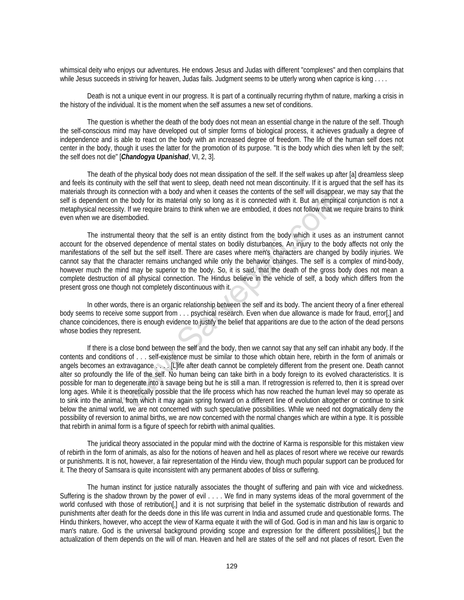whimsical deity who enjoys our adventures. He endows Jesus and Judas with different "complexes" and then complains that while Jesus succeeds in striving for heaven, Judas fails. Judgment seems to be utterly wrong when caprice is king . . . .

 Death is not a unique event in our progress. It is part of a continually recurring rhythm of nature, marking a crisis in the history of the individual. It is the moment when the self assumes a new set of conditions.

 The question is whether the death of the body does not mean an essential change in the nature of the self. Though the self-conscious mind may have developed out of simpler forms of biological process, it achieves gradually a degree of independence and is able to react on the body with an increased degree of freedom. The life of the human self does not center in the body, though it uses the latter for the promotion of its purpose. "It is the body which dies when left by the self; the self does not die" [*Chandogya Upanishad*, VI, 2, 3].

 The death of the physical body does not mean dissipation of the self. If the self wakes up after [a] dreamless sleep and feels its continuity with the self that went to sleep, death need not mean discontinuity. If it is argued that the self has its materials through its connection with a body and when it ceases the contents of the self will disappear, we may say that the self is dependent on the body for its material only so long as it is connected with it. But an empirical conjunction is not a metaphysical necessity. If we require brains to think when we are embodied, it does not follow that we require brains to think even when we are disembodied.

 The instrumental theory that the self is an entity distinct from the body which it uses as an instrument cannot account for the observed dependence of mental states on bodily disturbances. An injury to the body affects not only the manifestations of the self but the self itself. There are cases where men's characters are changed by bodily injuries. We cannot say that the character remains unchanged while only the behavior changes. The self is a complex of mind-body, however much the mind may be superior to the body. So, it is said, that the death of the gross body does not mean a complete destruction of all physical connection. The Hindus believe in the vehicle of self, a body which differs from the present gross one though not completely discontinuous with it.

 In other words, there is an organic relationship between the self and its body. The ancient theory of a finer ethereal body seems to receive some support from . . . psychical research. Even when due allowance is made for fraud, error[,] and chance coincidences, there is enough evidence to justify the belief that apparitions are due to the action of the dead persons whose bodies they represent.

 If there is a close bond between the self and the body, then we cannot say that any self can inhabit any body. If the contents and conditions of . . . self-existence must be similar to those which obtain here, rebirth in the form of animals or angels becomes an extravagance . . . . [L]ife after death cannot be completely different from the present one. Death cannot alter so profoundly the life of the self. No human being can take birth in a body foreign to its evolved characteristics. It is possible for man to degenerate into a savage being but he is still a man. If retrogression is referred to, then it is spread over long ages. While it is theoretically possible that the life process which has now reached the human level may so operate as to sink into the animal, from which it may again spring forward on a different line of evolution altogether or continue to sink below the animal world, we are not concerned with such speculative possibilities. While we need not dogmatically deny the possibility of reversion to animal births, we are now concerned with the normal changes which are within a type. It is possible that rebirth in animal form is a figure of speech for rebirth with animal qualities. Dimeted to increase the content in ceases the collection with a body of its material only so long as it is connected with it. But an empiric<br>I. If we require brains to think when we are embodied, it does not follow that we

 The juridical theory associated in the popular mind with the doctrine of Karma is responsible for this mistaken view of rebirth in the form of animals, as also for the notions of heaven and hell as places of resort where we receive our rewards or punishments. It is not, however, a fair representation of the Hindu view, though much popular support can be produced for it. The theory of Samsara is quite inconsistent with any permanent abodes of bliss or suffering.

 The human instinct for justice naturally associates the thought of suffering and pain with vice and wickedness. Suffering is the shadow thrown by the power of evil . . . . We find in many systems ideas of the moral government of the world confused with those of retribution[,] and it is not surprising that belief in the systematic distribution of rewards and punishments after death for the deeds done in this life was current in India and assumed crude and questionable forms. The Hindu thinkers, however, who accept the view of Karma equate it with the will of God. God is in man and his law is organic to man's nature. God is the universal background providing scope and expression for the different possibilities[,] but the actualization of them depends on the will of man. Heaven and hell are states of the self and not places of resort. Even the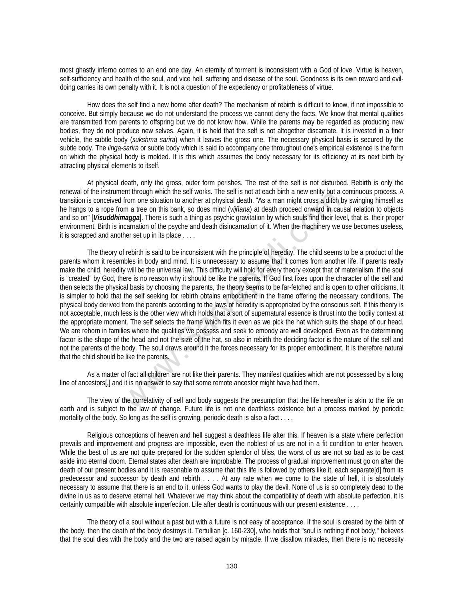most ghastly inferno comes to an end one day. An eternity of torment is inconsistent with a God of love. Virtue is heaven, self-sufficiency and health of the soul, and vice hell, suffering and disease of the soul. Goodness is its own reward and evildoing carries its own penalty with it. It is not a question of the expediency or profitableness of virtue.

 How does the self find a new home after death? The mechanism of rebirth is difficult to know, if not impossible to conceive. But simply because we do not understand the process we cannot deny the facts. We know that mental qualities are transmitted from parents to offspring but we do not know how. While the parents may be regarded as producing new bodies, they do not produce new selves. Again, it is held that the self is not altogether discarnate. It is invested in a finer vehicle, the subtle body (*sukshma sarira*) when it leaves the gross one. The necessary physical basis is secured by the subtle body. The *linga-sarira* or subtle body which is said to accompany one throughout one's empirical existence is the form on which the physical body is molded. It is this which assumes the body necessary for its efficiency at its next birth by attracting physical elements to itself.

 At physical death, only the gross, outer form perishes. The rest of the self is not disturbed. Rebirth is only the renewal of the instrument through which the self works. The self is not at each birth a new entity but a continuous process. A transition is conceived from one situation to another at physical death. "As a man might cross a ditch by swinging himself as he hangs to a rope from a tree on this bank, so does mind (*vijñana*) at death proceed onward in causal relation to objects and so on" [*Visuddhimagga*]. There is such a thing as psychic gravitation by which souls find their level, that is, their proper environment. Birth is incarnation of the psyche and death disincarnation of it. When the machinery we use becomes useless, it is scrapped and another set up in its place . . . .

 The theory of rebirth is said to be inconsistent with the principle of heredity. The child seems to be a product of the parents whom it resembles in body and mind. It is unnecessary to assume that it comes from another life. If parents really make the child, heredity will be the universal law. This difficulty will hold for every theory except that of materialism. If the soul is "created" by God, there is no reason why it should be like the parents. If God first fixes upon the character of the self and then selects the physical basis by choosing the parents, the theory seems to be far-fetched and is open to other criticisms. It is simpler to hold that the self seeking for rebirth obtains embodiment in the frame offering the necessary conditions. The physical body derived from the parents according to the laws of heredity is appropriated by the conscious self. If this theory is not acceptable, much less is the other view which holds that a sort of supernatural essence is thrust into the bodily context at the appropriate moment. The self selects the frame which fits it even as we pick the hat which suits the shape of our head. We are reborn in families where the qualities we possess and seek to embody are well developed. Even as the determining factor is the shape of the head and not the size of the hat, so also in rebirth the deciding factor is the nature of the self and not the parents of the body. The soul draws around it the forces necessary for its proper embodiment. It is therefore natural that the child should be like the parents. Entimation of the psylval death and the station and alternation on estimation of the station of the station of the station of the proceed onward in car<br>anaggal. There is such a thing as psychic gravitation by which souls f

 As a matter of fact all children are not like their parents. They manifest qualities which are not possessed by a long line of ancestors[,] and it is no answer to say that some remote ancestor might have had them.

 The view of the correlativity of self and body suggests the presumption that the life hereafter is akin to the life on earth and is subject to the law of change. Future life is not one deathless existence but a process marked by periodic mortality of the body. So long as the self is growing, periodic death is also a fact . . . .

 Religious conceptions of heaven and hell suggest a deathless life after this. If heaven is a state where perfection prevails and improvement and progress are impossible, even the noblest of us are not in a fit condition to enter heaven. While the best of us are not quite prepared for the sudden splendor of bliss, the worst of us are not so bad as to be cast aside into eternal doom. Eternal states after death are improbable. The process of gradual improvement must go on after the death of our present bodies and it is reasonable to assume that this life is followed by others like it, each separate[d] from its predecessor and successor by death and rebirth . . . . At any rate when we come to the state of hell, it is absolutely necessary to assume that there is an end to it, unless God wants to play the devil. None of us is so completely dead to the divine in us as to deserve eternal hell. Whatever we may think about the compatibility of death with absolute perfection, it is certainly compatible with absolute imperfection. Life after death is continuous with our present existence . . . .

 The theory of a soul without a past but with a future is not easy of acceptance. If the soul is created by the birth of the body, then the death of the body destroys it. Tertullian [c. 160-230], who holds that "soul is nothing if not body," believes that the soul dies with the body and the two are raised again by miracle. If we disallow miracles, then there is no necessity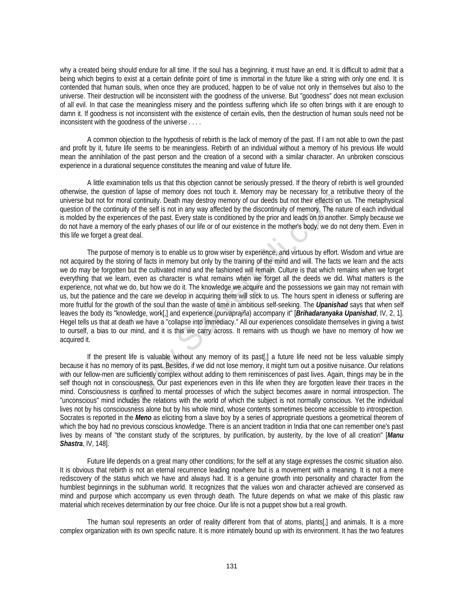why a created being should endure for all time. If the soul has a beginning, it must have an end. It is difficult to admit that a being which begins to exist at a certain definite point of time is immortal in the future like a string with only one end. It is contended that human souls, when once they are produced, happen to be of value not only in themselves but also to the universe. Their destruction will be inconsistent with the goodness of the universe. But "goodness" does not mean exclusion of all evil. In that case the meaningless misery and the pointless suffering which life so often brings with it are enough to damn it. If goodness is not inconsistent with the existence of certain evils, then the destruction of human souls need not be inconsistent with the goodness of the universe . . . .

 A common objection to the hypothesis of rebirth is the lack of memory of the past. If I am not able to own the past and profit by it, future life seems to be meaningless. Rebirth of an individual without a memory of his previous life would mean the annihilation of the past person and the creation of a second with a similar character. An unbroken conscious experience in a durational sequence constitutes the meaning and value of future life.

 A little examination tells us that this objection cannot be seriously pressed. If the theory of rebirth is well grounded otherwise, the question of lapse of memory does not touch it. Memory may be necessary for a retributive theory of the universe but not for moral continuity. Death may destroy memory of our deeds but not their effects on us. The metaphysical question of the continuity of the self is not in any way affected by the discontinuity of memory. The nature of each individual is molded by the experiences of the past. Every state is conditioned by the prior and leads on to another. Simply because we do not have a memory of the early phases of our life or of our existence in the mother's body, we do not deny them. Even in this life we forget a great deal.

 The purpose of memory is to enable us to grow wiser by experience, and virtuous by effort. Wisdom and virtue are not acquired by the storing of facts in memory but only by the training of the mind and will. The facts we learn and the acts we do may be forgotten but the cultivated mind and the fashioned will remain. Culture is that which remains when we forget everything that we learn, even as character is what remains when we forget all the deeds we did. What matters is the experience, not what we do, but how we do it. The knowledge we acquire and the possessions we gain may not remain with us, but the patience and the care we develop in acquiring them will stick to us. The hours spent in idleness or suffering are more fruitful for the growth of the soul than the waste of time in ambitious self-seeking. The *Upanishad* says that when self leaves the body its "knowledge, work[,] and experience (*purvaprajña*) accompany it" [*Brihadaranyaka Upanishad*, IV, 2, 1]. Hegel tells us that at death we have a "collapse into immediacy." All our experiences consolidate themselves in giving a twist to ourself, a bias to our mind, and it is this we carry across. It remains with us though we have no memory of how we acquired it. To aligne to intentiony dues not usual it. "wellingy ling be releass on you are to the sample of the self is not in any way affected by the discontinuity of memory. The nation of the early phases of our life or of our exis

 If the present life is valuable without any memory of its past[,] a future life need not be less valuable simply because it has no memory of its past. Besides, if we did not lose memory, it might turn out a positive nuisance. Our relations with our fellow-men are sufficiently complex without adding to them reminiscences of past lives. Again, things may be in the self though not in consciousness. Our past experiences even in this life when they are forgotten leave their traces in the mind. Consciousness is confined to mental processes of which the subject becomes aware in normal introspection. The "unconscious" mind includes the relations with the world of which the subject is not normally conscious. Yet the individual lives not by his consciousness alone but by his whole mind, whose contents sometimes become accessible to introspection. Socrates is reported in the *Meno* as eliciting from a slave boy by a series of appropriate questions a geometrical theorem of which the boy had no previous conscious knowledge. There is an ancient tradition in India that one can remember one's past lives by means of "the constant study of the scriptures, by purification, by austerity, by the love of all creation" [*Manu Shastra*, IV, 148].

 Future life depends on a great many other conditions; for the self at any stage expresses the cosmic situation also. It is obvious that rebirth is not an eternal recurrence leading nowhere but is a movement with a meaning. It is not a mere rediscovery of the status which we have and always had. It is a genuine growth into personality and character from the humblest beginnings in the subhuman world. It recognizes that the values won and character achieved are conserved as mind and purpose which accompany us even through death. The future depends on what we make of this plastic raw material which receives determination by our free choice. Our life is not a puppet show but a real growth.

 The human soul represents an order of reality different from that of atoms, plants[,] and animals. It is a more complex organization with its own specific nature. It is more intimately bound up with its environment. It has the two features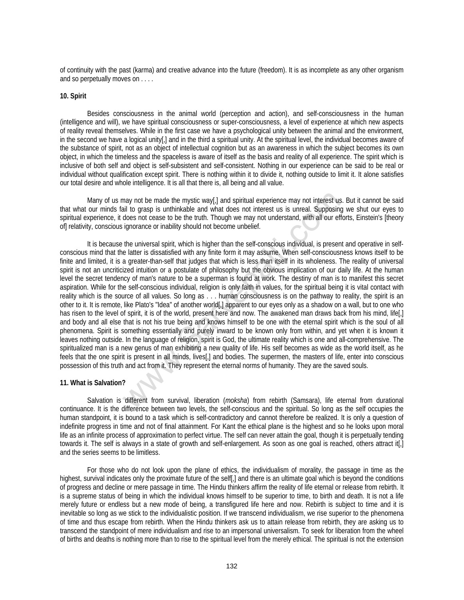of continuity with the past (karma) and creative advance into the future (freedom). It is as incomplete as any other organism and so perpetually moves on . . . .

#### **10. Spirit**

 Besides consciousness in the animal world (perception and action), and self-consciousness in the human (intelligence and will), we have spiritual consciousness or super-consciousness, a level of experience at which new aspects of reality reveal themselves. While in the first case we have a psychological unity between the animal and the environment, in the second we have a logical unity[,] and in the third a spiritual unity. At the spiritual level, the individual becomes aware of the substance of spirit, not as an object of intellectual cognition but as an awareness in which the subject becomes its own object, in which the timeless and the spaceless is aware of itself as the basis and reality of all experience. The spirit which is inclusive of both self and object is self-subsistent and self-consistent. Nothing in our experience can be said to be real or individual without qualification except spirit. There is nothing within it to divide it, nothing outside to limit it. It alone satisfies our total desire and whole intelligence. It is all that there is, all being and all value.

 Many of us may not be made the mystic way[,] and spiritual experience may not interest us. But it cannot be said that what our minds fail to grasp is unthinkable and what does not interest us is unreal. Supposing we shut our eyes to spiritual experience, it does not cease to be the truth. Though we may not understand, with all our efforts, Einstein's [theory of] relativity, conscious ignorance or inability should not become unbelief.

 It is because the universal spirit, which is higher than the self-conscious individual, is present and operative in selfconscious mind that the latter is dissatisfied with any finite form it may assume. When self-consciousness knows itself to be finite and limited, it is a greater-than-self that judges that which is less than itself in its wholeness. The reality of universal spirit is not an uncriticized intuition or a postulate of philosophy but the obvious implication of our daily life. At the human level the secret tendency of man's nature to be a superman is found at work. The destiny of man is to manifest this secret aspiration. While for the self-conscious individual, religion is only faith in values, for the spiritual being it is vital contact with reality which is the source of all values. So long as . . . human consciousness is on the pathway to reality, the spirit is an other to it. It is remote, like Plato's "Idea" of another world[,] apparent to our eyes only as a shadow on a wall, but to one who has risen to the level of spirit, it is of the world, present here and now. The awakened man draws back from his mind, life[,] and body and all else that is not his true being and knows himself to be one with the eternal spirit which is the soul of all phenomena. Spirit is something essentially and purely inward to be known only from within, and yet when it is known it leaves nothing outside. In the language of religion, spirit is God, the ultimate reality which is one and all-comprehensive. The spiritualized man is a new genus of man exhibiting a new quality of life. His self becomes as wide as the world itself, as he feels that the one spirit is present in all minds, lives[,] and bodies. The supermen, the masters of life, enter into conscious possession of this truth and act from it. They represent the eternal norms of humanity. They are the saved souls. may not be made the mystic way[,] and spiritual experience may not interest us<br>ail to grasp is unthinkable and what does not interest us is unreal. Supposing<br>does not cease to be the truth. Though we may not understand, wi

#### **11. What is Salvation?**

 Salvation is different from survival, liberation (*moksha*) from rebirth (Samsara), life eternal from durational continuance. It is the difference between two levels, the self-conscious and the spiritual. So long as the self occupies the human standpoint, it is bound to a task which is self-contradictory and cannot therefore be realized. It is only a question of indefinite progress in time and not of final attainment. For Kant the ethical plane is the highest and so he looks upon moral life as an infinite process of approximation to perfect virtue. The self can never attain the goal, though it is perpetually tending towards it. The self is always in a state of growth and self-enlargement. As soon as one goal is reached, others attract it[,] and the series seems to be limitless.

 For those who do not look upon the plane of ethics, the individualism of morality, the passage in time as the highest, survival indicates only the proximate future of the self[,] and there is an ultimate goal which is beyond the conditions of progress and decline or mere passage in time. The Hindu thinkers affirm the reality of life eternal or release from rebirth. It is a supreme status of being in which the individual knows himself to be superior to time, to birth and death. It is not a life merely future or endless but a new mode of being, a transfigured life here and now. Rebirth is subject to time and it is inevitable so long as we stick to the individualistic position. If we transcend individualism, we rise superior to the phenomena of time and thus escape from rebirth. When the Hindu thinkers ask us to attain release from rebirth, they are asking us to transcend the standpoint of mere individualism and rise to an impersonal universalism. To seek for liberation from the wheel of births and deaths is nothing more than to rise to the spiritual level from the merely ethical. The spiritual is not the extension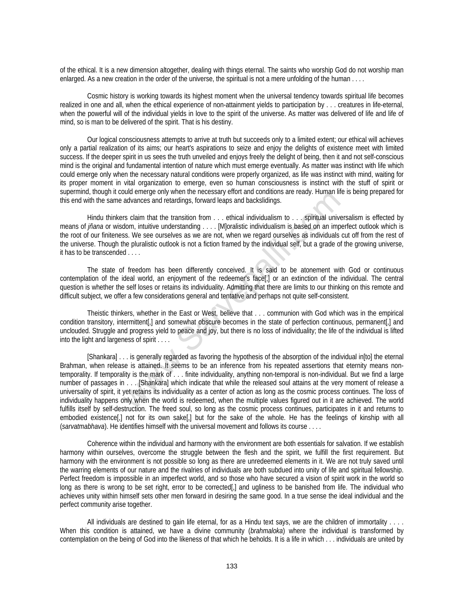of the ethical. It is a new dimension altogether, dealing with things eternal. The saints who worship God do not worship man enlarged. As a new creation in the order of the universe, the spiritual is not a mere unfolding of the human . . . .

 Cosmic history is working towards its highest moment when the universal tendency towards spiritual life becomes realized in one and all, when the ethical experience of non-attainment yields to participation by . . . creatures in life-eternal, when the powerful will of the individual yields in love to the spirit of the universe. As matter was delivered of life and life of mind, so is man to be delivered of the spirit. That is his destiny.

 Our logical consciousness attempts to arrive at truth but succeeds only to a limited extent; our ethical will achieves only a partial realization of its aims; our heart's aspirations to seize and enjoy the delights of existence meet with limited success. If the deeper spirit in us sees the truth unveiled and enjoys freely the delight of being, then it and not self-conscious mind is the original and fundamental intention of nature which must emerge eventually. As matter was instinct with life which could emerge only when the necessary natural conditions were properly organized, as life was instinct with mind, waiting for its proper moment in vital organization to emerge, even so human consciousness is instinct with the stuff of spirit or supermind, though it could emerge only when the necessary effort and conditions are ready. Human life is being prepared for this end with the same advances and retardings, forward leaps and backslidings.

 Hindu thinkers claim that the transition from . . . ethical individualism to . . . spiritual universalism is effected by means of *jñana* or wisdom, intuitive understanding . . . . [M]oralistic individualism is based on an imperfect outlook which is the root of our finiteness. We see ourselves as we are not, when we regard ourselves as individuals cut off from the rest of the universe. Though the pluralistic outlook is not a fiction framed by the individual self, but a grade of the growing universe, it has to be transcended . . . .

 The state of freedom has been differently conceived. It is said to be atonement with God or continuous contemplation of the ideal world, an enjoyment of the redeemer's face[,] or an extinction of the individual. The central question is whether the self loses or retains its individuality. Admitting that there are limits to our thinking on this remote and difficult subject, we offer a few considerations general and tentative and perhaps not quite self-consistent.

 Theistic thinkers, whether in the East or West, believe that . . . communion with God which was in the empirical condition transitory, intermittent[,] and somewhat obscure becomes in the state of perfection continuous, permanent[,] and unclouded. Struggle and progress yield to peace and joy, but there is no loss of individuality; the life of the individual is lifted into the light and largeness of spirit . . . .

 [Shankara] . . . is generally regarded as favoring the hypothesis of the absorption of the individual in[to] the eternal Brahman, when release is attained. It seems to be an inference from his repeated assertions that eternity means nontemporality. If temporality is the mark of . . . finite individuality, anything non-temporal is non-individual. But we find a large number of passages in . . . [Shankara] which indicate that while the released soul attains at the very moment of release a universality of spirit, it yet retains its individuality as a center of action as long as the cosmic process continues. The loss of individuality happens only when the world is redeemed, when the multiple values figured out in it are achieved. The world fulfills itself by self-destruction. The freed soul, so long as the cosmic process continues, participates in it and returns to embodied existence[,] not for its own sake[,] but for the sake of the whole. He has the feelings of kinship with all (*sarvatmabhava*). He identifies himself with the universal movement and follows its course . . . . but enterge only when the tesssary entit and columbins are ready. Fundal in<br>advances and relatings, forward leaps and backlidings.<br>In stailing that the transition from . . . . [Moralistic individualism to . . . spiritual u

 Coherence within the individual and harmony with the environment are both essentials for salvation. If we establish harmony within ourselves, overcome the struggle between the flesh and the spirit, we fulfill the first requirement. But harmony with the environment is not possible so long as there are unredeemed elements in it. We are not truly saved until the warring elements of our nature and the rivalries of individuals are both subdued into unity of life and spiritual fellowship. Perfect freedom is impossible in an imperfect world, and so those who have secured a vision of spirit work in the world so long as there is wrong to be set right, error to be corrected[,] and ugliness to be banished from life. The individual who achieves unity within himself sets other men forward in desiring the same good. In a true sense the ideal individual and the perfect community arise together.

 All individuals are destined to gain life eternal, for as a Hindu text says, we are the children of immortality . . . . When this condition is attained, we have a divine community (*brahmaloka*) where the individual is transformed by contemplation on the being of God into the likeness of that which he beholds. It is a life in which . . . individuals are united by